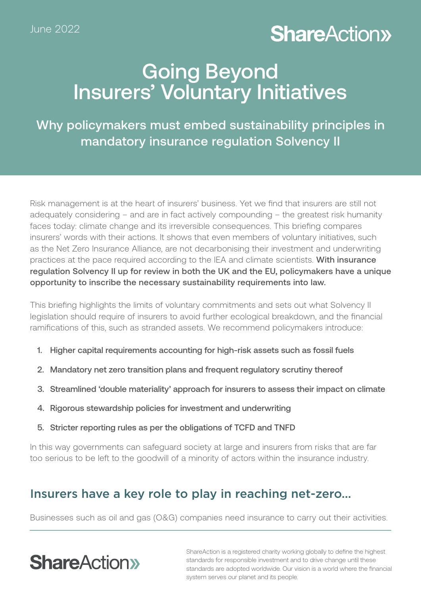## **ShareAction>**

## Going Beyond Insurers' Voluntary Initiatives

Why policymakers must embed sustainability principles in mandatory insurance regulation Solvency II

Risk management is at the heart of insurers' business. Yet we find that insurers are still not adequately considering – and are in fact actively compounding – the greatest risk humanity faces today: climate change and its irreversible consequences. This briefing compares insurers' words with their actions. It shows that even members of voluntary initiatives, such as the Net Zero Insurance Alliance, are not decarbonising their investment and underwriting practices at the pace required according to the IEA and climate scientists. With insurance regulation Solvency II up for review in both the UK and the EU, policymakers have a unique opportunity to inscribe the necessary sustainability requirements into law.

This briefing highlights the limits of voluntary commitments and sets out what Solvency II legislation should require of insurers to avoid further ecological breakdown, and the financial ramifications of this, such as stranded assets. We recommend policymakers introduce:

- 1. Higher capital requirements accounting for high-risk assets such as fossil fuels
- 2. Mandatory net zero transition plans and frequent regulatory scrutiny thereof
- 3. Streamlined 'double materiality' approach for insurers to assess their impact on climate
- 4. Rigorous stewardship policies for investment and underwriting
- 5. Stricter reporting rules as per the obligations of TCFD and TNFD

In this way governments can safeguard society at large and insurers from risks that are far too serious to be left to the goodwill of a minority of actors within the insurance industry.

## Insurers have a key role to play in reaching net-zero…

Businesses such as oil and gas (O&G) companies need insurance to carry out their activities.

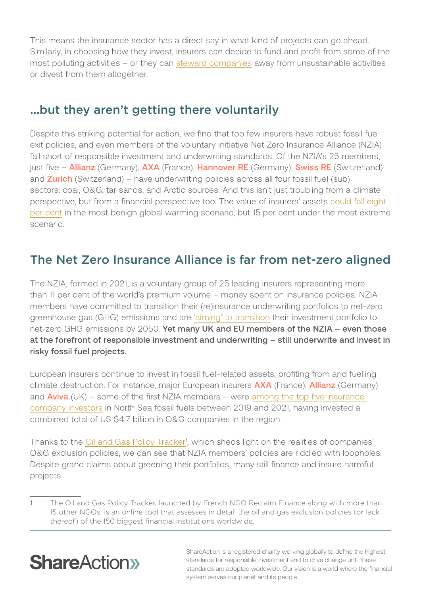This means the insurance sector has a direct say in what kind of projects can go ahead. Similarly, in choosing how they invest, insurers can decide to fund and profit from some of the most polluting activities – or they can [steward companies](https://shareaction.org/policies/letter-on-stewardship-in-renewed-sustainable-finance-strategy) away from unsustainable activities or divest from them altogether.

### …but they aren't getting there voluntarily

Despite this striking potential for action, we find that too few insurers have robust fossil fuel exit policies, and even members of the voluntary initiative Net Zero Insurance Alliance (NZIA) fall short of responsible investment and underwriting standards. Of the NZIA's 25 members, just five – **Allianz** (Germany), **AXA** (France), Hannover RE (Germany), Swiss RE (Switzerland) and **Zurich** (Switzerland) – have underwriting policies across all four fossil fuel (sub) sectors: coal, O&G, tar sands, and Arctic sources. And this isn't just troubling from a climate perspective, but from a financial perspective too. The value of insurers' assets [could fall eight](https://www.ft.com/content/0d09f5c4-b88e-440f-9d2f-598ee71281c9 )  [per cent](https://www.ft.com/content/0d09f5c4-b88e-440f-9d2f-598ee71281c9 ) in the most benign global warming scenario, but 15 per cent under the most extreme scenario.

### The Net Zero Insurance Alliance is far from net-zero aligned

The NZIA, formed in 2021, is a voluntary group of 25 leading insurers representing more than 11 per cent of the world's premium volume – money spent on insurance policies. NZIA members have committed to transition their (re)insurance underwriting portfolios to net-zero greenhouse gas (GHG) emissions and are ['aiming' to transition](https://www.unepfi.org/psi/wp-content/uploads/2021/07/NZIA-Commitment.pdf) their investment portfolio to net-zero GHG emissions by 2050. Yet many UK and EU members of the NZIA – even those at the forefront of responsible investment and underwriting – still underwrite and invest in risky fossil fuel projects.

European insurers continue to invest in fossil fuel-related assets, profiting from and fuelling climate destruction. For instance, major European insurers **AXA** (France), **Allianz** (Germany) and  $Aviva$  (UK) – some of the first NZIA members – were among the top five insurance [company investors](https://us.insure-our-future.com/major-insurers-invest-oil-gas-north-sea/) in North Sea fossil fuels between 2019 and 2021, having invested a combined total of US \$4.7 billion in O&G companies in the region.

Thanks to the Oil and Gas Policy Tracker<sup>1</sup>, which sheds light on the realities of companies' O&G exclusion policies, we can see that NZIA members' policies are riddled with loopholes. Despite grand claims about greening their portfolios, many still finance and insure harmful projects.

<sup>1</sup> The Oil and Gas Policy Tracker, launched by French NGO Reclaim Finance along with more than 15 other NGOs, is an online tool that assesses in detail the oil and gas exclusion policies (or lack thereof) of the 150 biggest financial institutions worldwide.

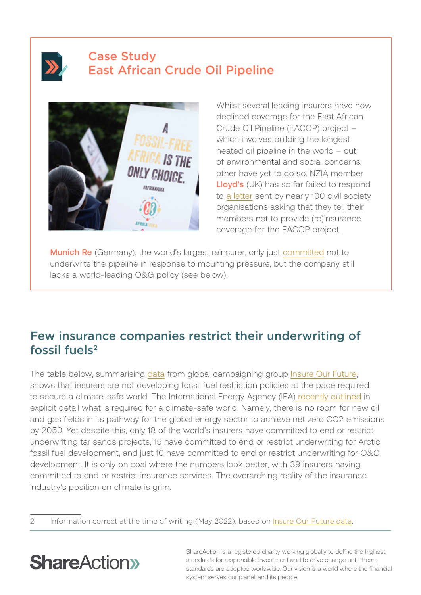## Case Study East African Crude Oil Pipeline



Whilst several leading insurers have now declined coverage for the East African Crude Oil Pipeline (EACOP) project – which involves building the longest heated oil pipeline in the world – out of environmental and social concerns, other have yet to do so. NZIA member Lloyd's (UK) has so far failed to respond to [a letter](https://www.stopeacop.net/our-news/100-organizations-are-calling-on-lloyds-to-reject-eacop) sent by nearly 100 civil society organisations asking that they tell their members not to provide (re)insurance coverage for the EACOP project.

Munich Re (Germany), the world's largest reinsurer, only just [committed](https://global.insure-our-future.com/munich-re-commits-to-not-insure-eacop/) not to underwrite the pipeline in response to mounting pressure, but the company still lacks a world-leading O&G policy (see below).

### Few insurance companies restrict their underwriting of fossil fuels<sup>2</sup>

The table below, summarising [data](https://docs.google.com/document/d/1B1zuUw6s4Gye6fyNV7cQxhVkwv7lY16z/edit) from global campaigning group [Insure Our Future](https://global.insure-our-future.com/), shows that insurers are not developing fossil fuel restriction policies at the pace required to secure a climate-safe world. The International Energy Agency (IEA[\) recently outlined](https://www.iea.org/reports/net-zero-by-2050) in explicit detail what is required for a climate-safe world. Namely, there is no room for new oil and gas fields in its pathway for the global energy sector to achieve net zero CO2 emissions by 2050. Yet despite this, only 18 of the world's insurers have committed to end or restrict underwriting tar sands projects, 15 have committed to end or restrict underwriting for Arctic fossil fuel development, and just 10 have committed to end or restrict underwriting for O&G development. It is only on coal where the numbers look better, with 39 insurers having committed to end or restrict insurance services. The overarching reality of the insurance industry's position on climate is grim.

2 Information correct at the time of writing (May 2022), based on *[Insure Our Future data](https://docs.google.com/document/d/1B1zuUw6s4Gye6fyNV7cQxhVkwv7lY16z/edit# via https://global.insure-our-future.com/)*.

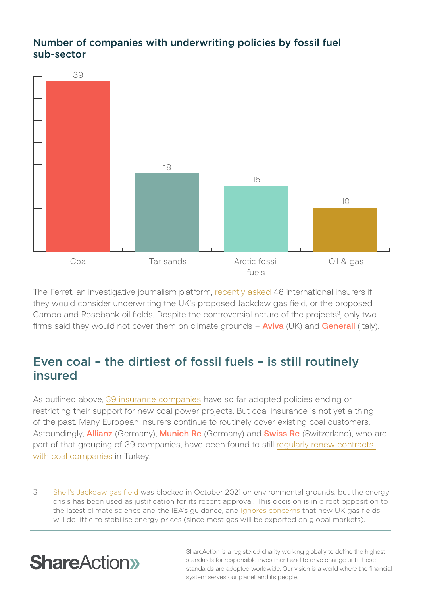### Number of companies with underwriting policies by fossil fuel sub-sector



The Ferret, an investigative journalism platform, [recently asked](https://theferret.scot/two-insurance-companies-rule-out-covering/) 46 international insurers if they would consider underwriting the UK's proposed Jackdaw gas field, or the proposed Cambo and Rosebank oil fields. Despite the controversial nature of the projects<sup>3</sup>, only two firms said they would not cover them on climate grounds  $-$  **Aviva** (UK) and **Generali** (Italy).

## Even coal – the dirtiest of fossil fuels – is still routinely insured

As outlined above, [39 insurance companies](https://docs.google.com/document/d/1B1zuUw6s4Gye6fyNV7cQxhVkwv7lY16z/edit) have so far adopted policies ending or restricting their support for new coal power projects. But coal insurance is not yet a thing of the past. Many European insurers continue to routinely cover existing coal customers. Astoundingly, **Allianz** (Germany), Munich Re (Germany) and **Swiss Re** (Switzerland), who are part of that grouping of 39 companies, have been found to still [regularly renew contracts](https://rt-on.pl/en/publications?download=36:investigation-into-turkish-coal-insurance)  [with coal companies](https://rt-on.pl/en/publications?download=36:investigation-into-turkish-coal-insurance) in Turkey.

3 [Shell's Jackdaw gas field](https://www.bbc.co.uk/news/uk-scotland-scotland-business-61666693) was blocked in October 2021 on environmental grounds, but the energy crisis has been used as justification for its recent approval. This decision is in direct opposition to the latest climate science and the IEA's guidance, and [ignores concerns](https://upliftuk.org/wp-content/uploads/2022/03/Uplift-brief_Energy-Security-and-North-Sea-Oil-and-Gas.pdf) that new UK gas fields will do little to stabilise energy prices (since most gas will be exported on global markets).

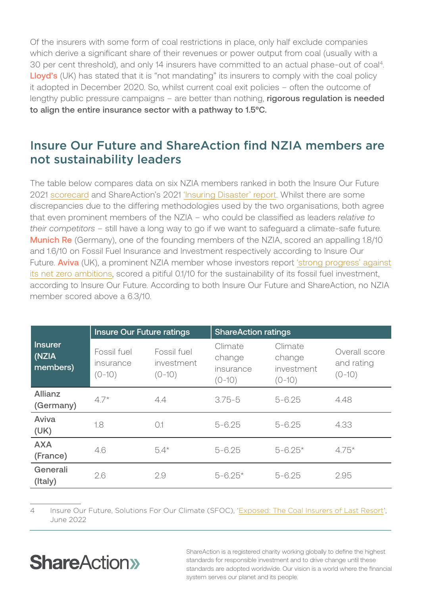Of the insurers with some form of coal restrictions in place, only half exclude companies which derive a significant share of their revenues or power output from coal (usually with a 30 per cent threshold), and only 14 insurers have committed to an actual phase-out of coal4. Lloyd's (UK) has stated that it is "not mandating" its insurers to comply with the coal policy it adopted in December 2020. So, whilst current coal exit policies – often the outcome of lengthy public pressure campaigns – are better than nothing, rigorous regulation is needed to align the entire insurance sector with a pathway to 1.5°C.

### Insure Our Future and ShareAction find NZIA members are not sustainability leaders

The table below compares data on six NZIA members ranked in both the Insure Our Future 2021 [scorecard](https://insureourfuture.co/wp-content/uploads/2021/11/2021-Insure-Our-Future-Scorecard.pdf) and ShareAction's 2021 ['Insuring Disaster' report.](https://api.shareaction.org/resources/reports/Insuring-Disaster.pdf) Whilst there are some discrepancies due to the differing methodologies used by the two organisations, both agree that even prominent members of the NZIA – who could be classified as leaders *relative to their competitors* – still have a long way to go if we want to safeguard a climate-safe future. **Munich Re** (Germany), one of the founding members of the NZIA, scored an appalling 1.8/10 and 1.6/10 on Fossil Fuel Insurance and Investment respectively according to Insure Our Future. **Aviva** (UK), a prominent NZIA member whose investors report ['strong progress' against](https://www.businessgreen.com/news/4050545/aviva-investors-claims-strong-progress-net-zero-ambitions) [its net zero ambitions,](https://www.businessgreen.com/news/4050545/aviva-investors-claims-strong-progress-net-zero-ambitions) scored a pitiful 0.1/10 for the sustainability of its fossil fuel investment, according to Insure Our Future. According to both Insure Our Future and ShareAction, no NZIA member scored above a 6.3/10.

| <b>Insurer</b><br>(NZIA<br>members) | <b>Insure Our Future ratings</b>     |                                       | <b>ShareAction ratings</b>                 |                                             |                                         |
|-------------------------------------|--------------------------------------|---------------------------------------|--------------------------------------------|---------------------------------------------|-----------------------------------------|
|                                     | Fossil fuel<br>insurance<br>$(0-10)$ | Fossil fuel<br>investment<br>$(0-10)$ | Climate<br>change<br>insurance<br>$(0-10)$ | Climate<br>change<br>investment<br>$(0-10)$ | Overall score<br>and rating<br>$(0-10)$ |
| <b>Allianz</b><br>(Germany)         | $4.7*$                               | 4.4                                   | $3.75 - 5$                                 | $5 - 6.25$                                  | 4.48                                    |
| Aviva<br>(UK)                       | 1.8                                  | O.1                                   | $5 - 6.25$                                 | $5 - 6.25$                                  | 4.33                                    |
| <b>AXA</b><br>(France)              | 4.6                                  | $5.4*$                                | $5 - 6.25$                                 | $5 - 6.25*$                                 | $4.75*$                                 |
| Generali<br>(Italy)                 | 2.6                                  | 2.9                                   | $5 - 6.25*$                                | $5 - 6.25$                                  | 2.95                                    |

4 Insure Our Future, Solutions For Our Climate (SFOC), '[Exposed: The Coal Insurers of Last Resort'](https://global.insure-our-future.com/wp-content/uploads/sites/2/2022/05/IOF-KEPCO-Briefing.pdf), June 2022

## **ShareAction**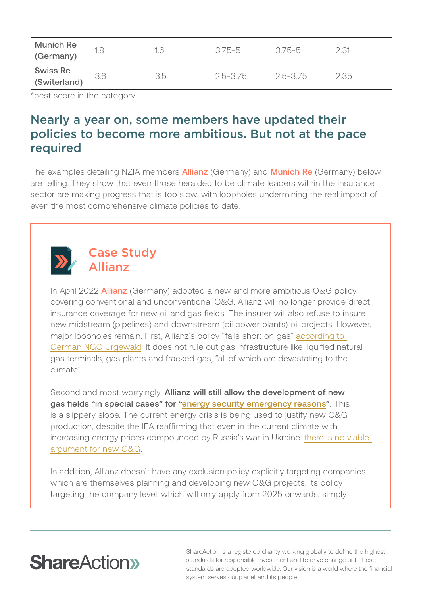| <b>Munich Re</b><br>(Germany) |     | 1.6 | 375-5    | -375-5   | 2.31 |
|-------------------------------|-----|-----|----------|----------|------|
| Swiss Re<br>(Switerland)      | 3.6 | 3.5 | 2.5-3.75 | 2.5-3.75 | 235  |

\*best score in the category

### Nearly a year on, some members have updated their policies to become more ambitious. But not at the pace required

The examples detailing NZIA members **Allianz** (Germany) and **Munich Re** (Germany) below are telling. They show that even those heralded to be climate leaders within the insurance sector are making progress that is too slow, with loopholes undermining the real impact of even the most comprehensive climate policies to date.



### Case Study Allianz

In April 2022 **Allianz** (Germany) adopted a new and more ambitious O&G policy covering conventional and unconventional O&G. Allianz will no longer provide direct insurance coverage for new oil and gas fields. The insurer will also refuse to insure new midstream (pipelines) and downstream (oil power plants) oil projects. However, major loopholes remain. First, Allianz's policy "falls short on gas" according to [German NGO Urgewald](https://twitter.com/urgewald/status/1520054923685249029). It does not rule out gas infrastructure like liquified natural gas terminals, gas plants and fracked gas, "all of which are devastating to the climate".

Second and most worryingly, Allianz will still allow the development of new gas fields "in special cases" for ["energy security emergency reasons](https://reclaimfinance.org/site/en/2022/05/05/oil-gas-allianz-elevates-the-bar-for-european-insurers/)". This is a slippery slope. The current energy crisis is being used to justify new O&G production, despite the IEA reaffirming that even in the current climate with increasing energy prices compounded by Russia's war in Ukraine, [there is no viable](https://api.shareaction.org/resources/reports/Fossil-Fuel-Financing_Policy-Briefing.pdf)  [argument for new O&G.](https://api.shareaction.org/resources/reports/Fossil-Fuel-Financing_Policy-Briefing.pdf)

In addition, Allianz doesn't have any exclusion policy explicitly targeting companies which are themselves planning and developing new O&G projects. Its policy targeting the company level, which will only apply from 2025 onwards, simply

## **ShareAction**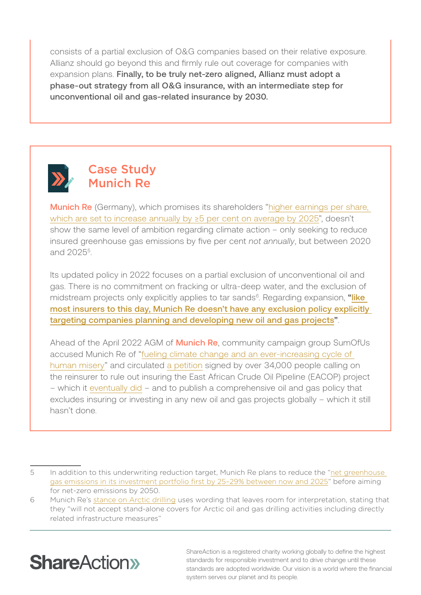consists of a partial exclusion of O&G companies based on their relative exposure. Allianz should go beyond this and firmly rule out coverage for companies with expansion plans. Finally, to be truly net-zero aligned, Allianz must adopt a phase-out strategy from all O&G insurance, with an intermediate step for unconventional oil and gas-related insurance by 2030.



### Case Study Munich Re

**Munich Re** (Germany), which promises its shareholders "higher earnings per share, [which are set to increase annually by ≥5 per cent on average by 2025"](https://www.munichre.com/en/company/munich-re-group-ambition-2025.html), doesn't show the same level of ambition regarding climate action – only seeking to reduce insured greenhouse gas emissions by five per cent *not annually*, but between 2020 and 20255.

Its updated policy in 2022 focuses on a partial exclusion of unconventional oil and gas. There is no commitment on fracking or ultra-deep water, and the exclusion of midstream projects only explicitly applies to tar sands<sup>6</sup>. Regarding expansion, "like [most insurers to this day, Munich Re doesn't have any exclusion policy explicitly](https://oilgaspolicytracker.org/ )  [targeting companies planning and developing new oil and gas projects"](https://oilgaspolicytracker.org/ ).

Ahead of the April 2022 AGM of **Munich Re**, community campaign group SumOfUs accused Munich Re of "[f](https://twitter.com/urgewald/status/1520054923685249029)[ueling climate change and an ever-increasing cycle of](https://twitter.com/SumOfUs/status/1519689326724059137)  [human misery](https://twitter.com/SumOfUs/status/1519689326724059137)" and circulated [a petition](https://actions.sumofus.org/a/the-insurance-monster-you-probably-never-heard-of) signed by over 34,000 people calling on the reinsurer to rule out insuring the East African Crude Oil Pipeline (EACOP) project – which it [eventually did](https://www.stopeacop.net/our-news/the-worlds-largest-insurer-munich-re-rejects-eacop) – and to publish a comprehensive oil and gas policy that excludes insuring or investing in any new oil and gas projects globally – which it still hasn't done.

<sup>6</sup> Munich Re's [stance on Arctic drilling](https://www.munichre.com/en/company/sustainability/news/2022/2022-01-17.html.html) uses wording that leaves room for interpretation, stating that they "will not accept stand-alone covers for Arctic oil and gas drilling activities including directly related infrastructure measures"



<sup>5</sup> In addition to this underwriting reduction target, Munich Re plans to reduce the "[net greenhouse](https://www.munichre.com/en/company/sustainability/news/2020/2020-12-09-news.html)  [gas emissions in its investment portfolio first by 25–29% between now and 2025](https://www.munichre.com/en/company/sustainability/news/2020/2020-12-09-news.html)" before aiming for net-zero emissions by 2050.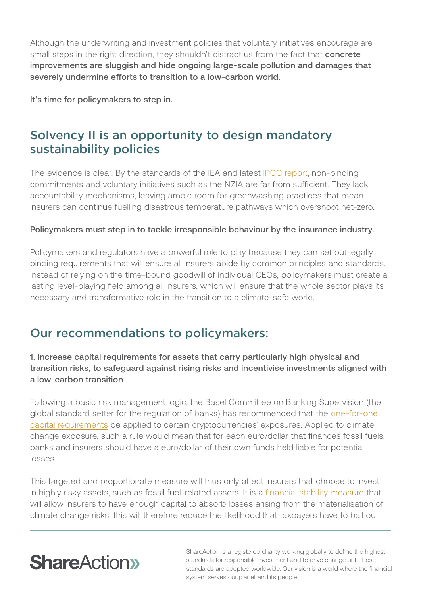Although the underwriting and investment policies that voluntary initiatives encourage are small steps in the right direction, they shouldn't distract us from the fact that concrete improvements are sluggish and hide ongoing large-scale pollution and damages that severely undermine efforts to transition to a low-carbon world.

It's time for policymakers to step in.

## Solvency II is an opportunity to design mandatory sustainability policies

The evidence is clear. By the standards of the IEA and latest [IPCC report,](https://www.ipcc.ch/report/ar6/wg2/) non-binding commitments and voluntary initiatives such as the NZIA are far from sufficient. They lack accountability mechanisms, leaving ample room for greenwashing practices that mean insurers can continue fuelling disastrous temperature pathways which overshoot net-zero.

#### Policymakers must step in to tackle irresponsible behaviour by the insurance industry.

Policymakers and regulators have a powerful role to play because they can set out legally binding requirements that will ensure all insurers abide by common principles and standards. Instead of relying on the time-bound goodwill of individual CEOs, policymakers must create a lasting level-playing field among all insurers, which will ensure that the whole sector plays its necessary and transformative role in the transition to a climate-safe world.

### Our recommendations to policymakers:

### 1. Increase capital requirements for assets that carry particularly high physical and transition risks, to safeguard against rising risks and incentivise investments aligned with a low-carbon transition

Following a basic risk management logic, the Basel Committee on Banking Supervision (the global standard setter for the regulation of banks) has recommended that the [one-for-one](https://shareaction.org/news/one-for-one-is-only-fair-time-for-banks-insurers-to-face-fossil-fuel-risks)  [capital requirements](https://shareaction.org/news/one-for-one-is-only-fair-time-for-banks-insurers-to-face-fossil-fuel-risks) be applied to certain cryptocurrencies' exposures. Applied to climate change exposure, such a rule would mean that for each euro/dollar that finances fossil fuels, banks and insurers should have a euro/dollar of their own funds held liable for potential losses.

This targeted and proportionate measure will thus only affect insurers that choose to invest in highly risky assets, such as fossil fuel-related assets. It is a [financial stability measure](https://www.finance-watch.org/publication/insuring-the-uninsurable/) that will allow insurers to have enough capital to absorb losses arising from the materialisation of climate change risks; this will therefore reduce the likelihood that taxpayers have to bail out

## **ShareAction**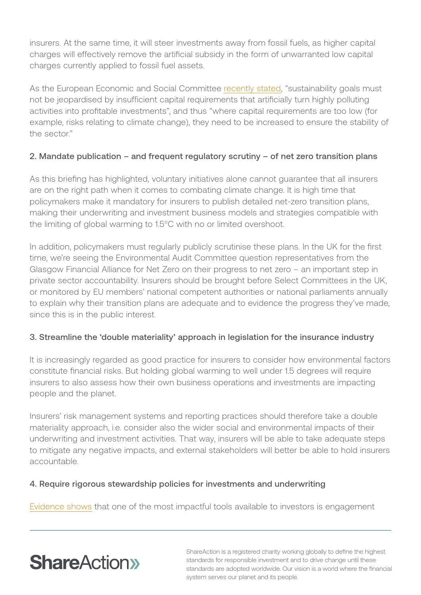insurers. At the same time, it will steer investments away from fossil fuels, as higher capital charges will effectively remove the artificial subsidy in the form of unwarranted low capital charges currently applied to fossil fuel assets.

As the European Economic and Social Committee [recently stated](https://www.eesc.europa.eu/en/news-media/news/stable-and-resilient-european-insurance-sector-could-contribute-much-more-green-and-digital-transition-and-covid-19), "sustainability goals must not be jeopardised by insufficient capital requirements that artificially turn highly polluting activities into profitable investments", and thus "where capital requirements are too low (for example, risks relating to climate change), they need to be increased to ensure the stability of the sector."

### 2. Mandate publication – and frequent regulatory scrutiny – of net zero transition plans

As this briefing has highlighted, voluntary initiatives alone cannot guarantee that all insurers are on the right path when it comes to combating climate change. It is high time that policymakers make it mandatory for insurers to publish detailed net-zero transition plans, making their underwriting and investment business models and strategies compatible with the limiting of global warming to 1.5°C with no or limited overshoot.

In addition, policymakers must regularly publicly scrutinise these plans. In the UK for the first time, we're seeing the Environmental Audit Committee question representatives from the Glasgow Financial Alliance for Net Zero on their progress to net zero – an important step in private sector accountability. Insurers should be brought before Select Committees in the UK, or monitored by EU members' national competent authorities or national parliaments annually to explain why their transition plans are adequate and to evidence the progress they've made, since this is in the public interest.

#### 3. Streamline the 'double materiality' approach in legislation for the insurance industry

It is increasingly regarded as good practice for insurers to consider how environmental factors constitute financial risks. But holding global warming to well under 1.5 degrees will require insurers to also assess how their own business operations and investments are impacting people and the planet.

Insurers' risk management systems and reporting practices should therefore take a double materiality approach, i.e. consider also the wider social and environmental impacts of their underwriting and investment activities. That way, insurers will be able to take adequate steps to mitigate any negative impacts, and external stakeholders will better be able to hold insurers accountable.

#### 4. Require rigorous stewardship policies for investments and underwriting

[Evidence shows](https://journals.sagepub.com/doi/full/10.1177/1086026620919202) that one of the most impactful tools available to investors is engagement